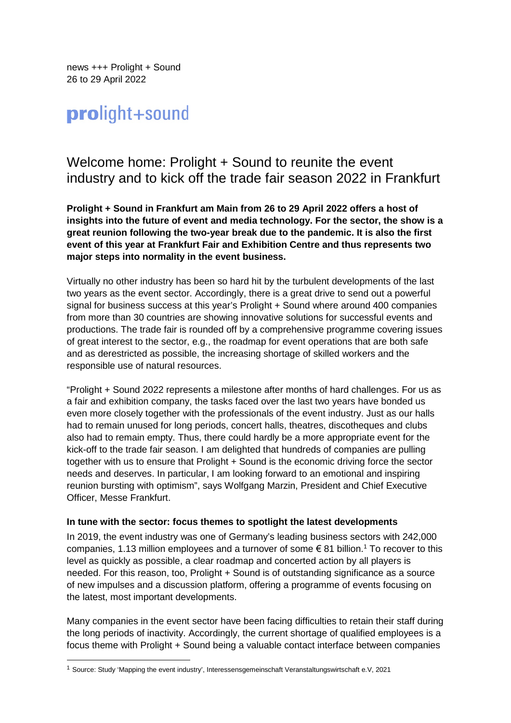news +++ Prolight + Sound 26 to 29 April 2022

# prolight+sound

## Welcome home: Prolight + Sound to reunite the event industry and to kick off the trade fair season 2022 in Frankfurt

**Prolight + Sound in Frankfurt am Main from 26 to 29 April 2022 offers a host of insights into the future of event and media technology. For the sector, the show is a great reunion following the two-year break due to the pandemic. It is also the first event of this year at Frankfurt Fair and Exhibition Centre and thus represents two major steps into normality in the event business.** 

Virtually no other industry has been so hard hit by the turbulent developments of the last two years as the event sector. Accordingly, there is a great drive to send out a powerful signal for business success at this year's Prolight + Sound where around 400 companies from more than 30 countries are showing innovative solutions for successful events and productions. The trade fair is rounded off by a comprehensive programme covering issues of great interest to the sector, e.g., the roadmap for event operations that are both safe and as derestricted as possible, the increasing shortage of skilled workers and the responsible use of natural resources.

"Prolight + Sound 2022 represents a milestone after months of hard challenges. For us as a fair and exhibition company, the tasks faced over the last two years have bonded us even more closely together with the professionals of the event industry. Just as our halls had to remain unused for long periods, concert halls, theatres, discotheques and clubs also had to remain empty. Thus, there could hardly be a more appropriate event for the kick-off to the trade fair season. I am delighted that hundreds of companies are pulling together with us to ensure that Prolight + Sound is the economic driving force the sector needs and deserves. In particular, I am looking forward to an emotional and inspiring reunion bursting with optimism", says Wolfgang Marzin, President and Chief Executive Officer, Messe Frankfurt.

#### **In tune with the sector: focus themes to spotlight the latest developments**

In 2019, the event industry was one of Germany's leading business sectors with 242,000 companies, 1.13 million employees and a turnover of some  $\epsilon$  81 billion.<sup>1</sup> To recover to this level as quickly as possible, a clear roadmap and concerted action by all players is needed. For this reason, too, Prolight + Sound is of outstanding significance as a source of new impulses and a discussion platform, offering a programme of events focusing on the latest, most important developments.

Many companies in the event sector have been facing difficulties to retain their staff during the long periods of inactivity. Accordingly, the current shortage of qualified employees is a focus theme with Prolight + Sound being a valuable contact interface between companies

<sup>1</sup> Source: Study 'Mapping the event industry', Interessensgemeinschaft Veranstaltungswirtschaft e.V, 2021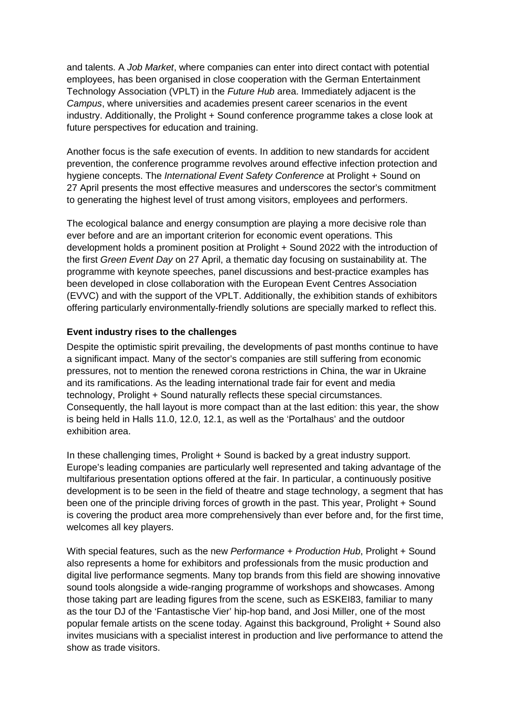and talents. A *Job Market*, where companies can enter into direct contact with potential employees, has been organised in close cooperation with the German Entertainment Technology Association (VPLT) in the *Future Hub* area. Immediately adjacent is the *Campus*, where universities and academies present career scenarios in the event industry. Additionally, the Prolight + Sound conference programme takes a close look at future perspectives for education and training.

Another focus is the safe execution of events. In addition to new standards for accident prevention, the conference programme revolves around effective infection protection and hygiene concepts. The *International Event Safety Conference* at Prolight + Sound on 27 April presents the most effective measures and underscores the sector's commitment to generating the highest level of trust among visitors, employees and performers.

The ecological balance and energy consumption are playing a more decisive role than ever before and are an important criterion for economic event operations. This development holds a prominent position at Prolight + Sound 2022 with the introduction of the first *Green Event Day* on 27 April, a thematic day focusing on sustainability at. The programme with keynote speeches, panel discussions and best-practice examples has been developed in close collaboration with the European Event Centres Association (EVVC) and with the support of the VPLT. Additionally, the exhibition stands of exhibitors offering particularly environmentally-friendly solutions are specially marked to reflect this.

### **Event industry rises to the challenges**

Despite the optimistic spirit prevailing, the developments of past months continue to have a significant impact. Many of the sector's companies are still suffering from economic pressures, not to mention the renewed corona restrictions in China, the war in Ukraine and its ramifications. As the leading international trade fair for event and media technology, Prolight + Sound naturally reflects these special circumstances. Consequently, the hall layout is more compact than at the last edition: this year, the show is being held in Halls 11.0, 12.0, 12.1, as well as the 'Portalhaus' and the outdoor exhibition area.

In these challenging times, Prolight + Sound is backed by a great industry support. Europe's leading companies are particularly well represented and taking advantage of the multifarious presentation options offered at the fair. In particular, a continuously positive development is to be seen in the field of theatre and stage technology, a segment that has been one of the principle driving forces of growth in the past. This year, Prolight + Sound is covering the product area more comprehensively than ever before and, for the first time, welcomes all key players.

With special features, such as the new *Performance + Production Hub*, Prolight + Sound also represents a home for exhibitors and professionals from the music production and digital live performance segments. Many top brands from this field are showing innovative sound tools alongside a wide-ranging programme of workshops and showcases. Among those taking part are leading figures from the scene, such as ESKEI83, familiar to many as the tour DJ of the 'Fantastische Vier' hip-hop band, and Josi Miller, one of the most popular female artists on the scene today. Against this background, Prolight + Sound also invites musicians with a specialist interest in production and live performance to attend the show as trade visitors.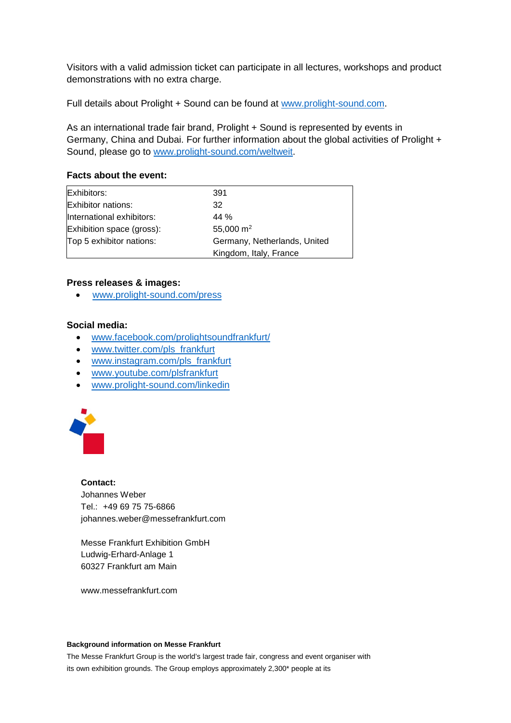Visitors with a valid admission ticket can participate in all lectures, workshops and product demonstrations with no extra charge.

Full details about Prolight + Sound can be found at [www.prolight-sound.com.](http://www.prolight-sound.com/)

As an international trade fair brand, Prolight + Sound is represented by events in Germany, China and Dubai. For further information about the global activities of Prolight + Sound, please go to [www.prolight-sound.com/weltweit.](http://www.prolight-sound.com/weltweit)

#### **Facts about the event:**

| Exhibitors:               | 391                          |
|---------------------------|------------------------------|
| Exhibitor nations:        | 32                           |
| International exhibitors: | 44 %                         |
| Exhibition space (gross): | 55,000 $m2$                  |
| Top 5 exhibitor nations:  | Germany, Netherlands, United |
|                           | Kingdom, Italy, France       |

#### **Press releases & images:**

[www.prolight-sound.com/press](http://www.prolight-sound.com/presse) 

#### **Social media:**

- [www.facebook.com/prolightsoundfrankfurt/](http://www.facebook.com/prolightsoundfrankfurt/)
- [www.twitter.com/pls\\_frankfurt](http://www.twitter.com/pls_frankfurt)
- [www.instagram.com/pls\\_frankfurt](http://www.instagram.com/pls_frankfurt)
- [www.youtube.com/plsfrankfurt](http://www.youtube.com/plsfrankfurt)
- [www.prolight-sound.com/linkedin](http://www.prolight-sound.com/linkedin)



#### **Contact:**

Johannes Weber Tel.: +49 69 75 75-6866 johannes.weber@messefrankfurt.com

Messe Frankfurt Exhibition GmbH Ludwig-Erhard-Anlage 1 60327 Frankfurt am Main

www.messefrankfurt.com

#### **Background information on Messe Frankfurt**

The Messe Frankfurt Group is the world's largest trade fair, congress and event organiser with its own exhibition grounds. The Group employs approximately 2,300\* people at its